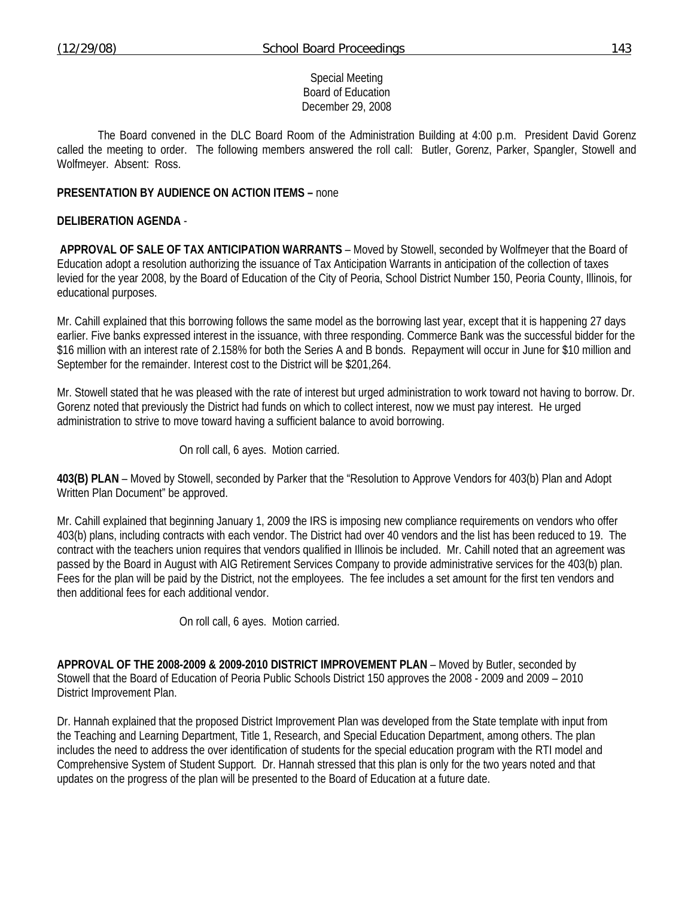## Special Meeting Board of Education December 29, 2008

 The Board convened in the DLC Board Room of the Administration Building at 4:00 p.m. President David Gorenz called the meeting to order. The following members answered the roll call: Butler, Gorenz, Parker, Spangler, Stowell and Wolfmeyer. Absent: Ross.

## **PRESENTATION BY AUDIENCE ON ACTION ITEMS –** none

## **DELIBERATION AGENDA** -

**APPROVAL OF SALE OF TAX ANTICIPATION WARRANTS** – Moved by Stowell, seconded by Wolfmeyer that the Board of Education adopt a resolution authorizing the issuance of Tax Anticipation Warrants in anticipation of the collection of taxes levied for the year 2008, by the Board of Education of the City of Peoria, School District Number 150, Peoria County, Illinois, for educational purposes.

Mr. Cahill explained that this borrowing follows the same model as the borrowing last year, except that it is happening 27 days earlier. Five banks expressed interest in the issuance, with three responding. Commerce Bank was the successful bidder for the \$16 million with an interest rate of 2.158% for both the Series A and B bonds. Repayment will occur in June for \$10 million and September for the remainder. Interest cost to the District will be \$201,264.

Mr. Stowell stated that he was pleased with the rate of interest but urged administration to work toward not having to borrow. Dr. Gorenz noted that previously the District had funds on which to collect interest, now we must pay interest. He urged administration to strive to move toward having a sufficient balance to avoid borrowing.

On roll call, 6 ayes. Motion carried.

**403(B) PLAN** – Moved by Stowell, seconded by Parker that the "Resolution to Approve Vendors for 403(b) Plan and Adopt Written Plan Document" be approved.

Mr. Cahill explained that beginning January 1, 2009 the IRS is imposing new compliance requirements on vendors who offer 403(b) plans, including contracts with each vendor. The District had over 40 vendors and the list has been reduced to 19. The contract with the teachers union requires that vendors qualified in Illinois be included. Mr. Cahill noted that an agreement was passed by the Board in August with AIG Retirement Services Company to provide administrative services for the 403(b) plan. Fees for the plan will be paid by the District, not the employees. The fee includes a set amount for the first ten vendors and then additional fees for each additional vendor.

On roll call, 6 ayes. Motion carried.

**APPROVAL OF THE 2008-2009 & 2009-2010 DISTRICT IMPROVEMENT PLAN** – Moved by Butler, seconded by Stowell that the Board of Education of Peoria Public Schools District 150 approves the 2008 - 2009 and 2009 – 2010 District Improvement Plan.

Dr. Hannah explained that the proposed District Improvement Plan was developed from the State template with input from the Teaching and Learning Department, Title 1, Research, and Special Education Department, among others. The plan includes the need to address the over identification of students for the special education program with the RTI model and Comprehensive System of Student Support. Dr. Hannah stressed that this plan is only for the two years noted and that updates on the progress of the plan will be presented to the Board of Education at a future date.